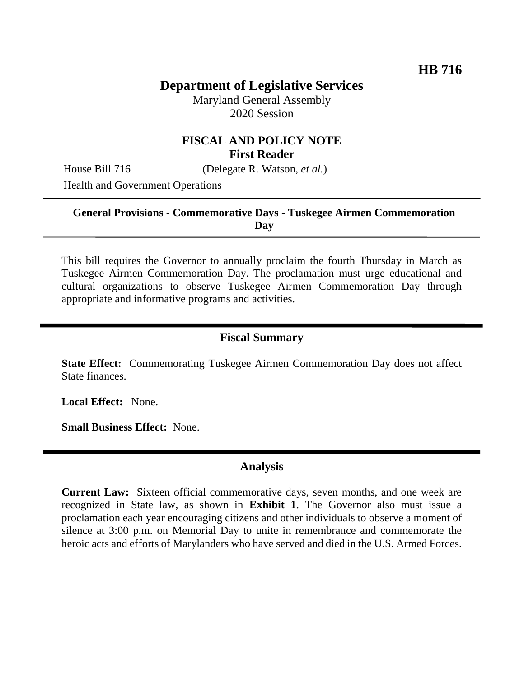# **Department of Legislative Services**

Maryland General Assembly 2020 Session

## **FISCAL AND POLICY NOTE First Reader**

House Bill 716 (Delegate R. Watson, *et al.*)

Health and Government Operations

#### **General Provisions - Commemorative Days - Tuskegee Airmen Commemoration Day**

This bill requires the Governor to annually proclaim the fourth Thursday in March as Tuskegee Airmen Commemoration Day. The proclamation must urge educational and cultural organizations to observe Tuskegee Airmen Commemoration Day through appropriate and informative programs and activities.

#### **Fiscal Summary**

**State Effect:** Commemorating Tuskegee Airmen Commemoration Day does not affect State finances.

**Local Effect:** None.

**Small Business Effect:** None.

#### **Analysis**

**Current Law:** Sixteen official commemorative days, seven months, and one week are recognized in State law, as shown in **Exhibit 1**. The Governor also must issue a proclamation each year encouraging citizens and other individuals to observe a moment of silence at 3:00 p.m. on Memorial Day to unite in remembrance and commemorate the heroic acts and efforts of Marylanders who have served and died in the U.S. Armed Forces.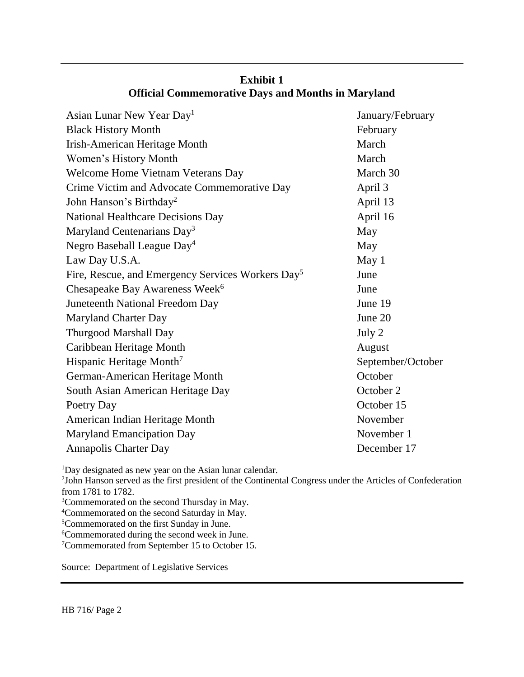| Asian Lunar New Year Day <sup>1</sup>                         | January/February  |
|---------------------------------------------------------------|-------------------|
| <b>Black History Month</b>                                    | February          |
| <b>Irish-American Heritage Month</b>                          | March             |
| Women's History Month                                         | March             |
| Welcome Home Vietnam Veterans Day                             | March 30          |
| Crime Victim and Advocate Commemorative Day                   | April 3           |
| John Hanson's Birthday <sup>2</sup>                           | April 13          |
| National Healthcare Decisions Day                             | April 16          |
| Maryland Centenarians Day <sup>3</sup>                        | May               |
| Negro Baseball League Day <sup>4</sup>                        | May               |
| Law Day U.S.A.                                                | May 1             |
| Fire, Rescue, and Emergency Services Workers Day <sup>5</sup> | June              |
| Chesapeake Bay Awareness Week <sup>6</sup>                    | June              |
| Juneteenth National Freedom Day                               | June 19           |
| <b>Maryland Charter Day</b>                                   | June 20           |
| <b>Thurgood Marshall Day</b>                                  | July 2            |
| Caribbean Heritage Month                                      | August            |
| Hispanic Heritage Month <sup>7</sup>                          | September/October |
| German-American Heritage Month                                | October           |
| South Asian American Heritage Day                             | October 2         |
| Poetry Day                                                    | October 15        |
| American Indian Heritage Month                                | November          |
| <b>Maryland Emancipation Day</b>                              | November 1        |
| <b>Annapolis Charter Day</b>                                  | December 17       |
|                                                               |                   |

## **Exhibit 1 Official Commemorative Days and Months in Maryland**

<sup>1</sup>Day designated as new year on the Asian lunar calendar.

2 John Hanson served as the first president of the Continental Congress under the Articles of Confederation from 1781 to 1782.

- <sup>3</sup>Commemorated on the second Thursday in May.
- <sup>4</sup>Commemorated on the second Saturday in May.

<sup>5</sup>Commemorated on the first Sunday in June.

<sup>6</sup>Commemorated during the second week in June.

<sup>7</sup>Commemorated from September 15 to October 15.

Source: Department of Legislative Services